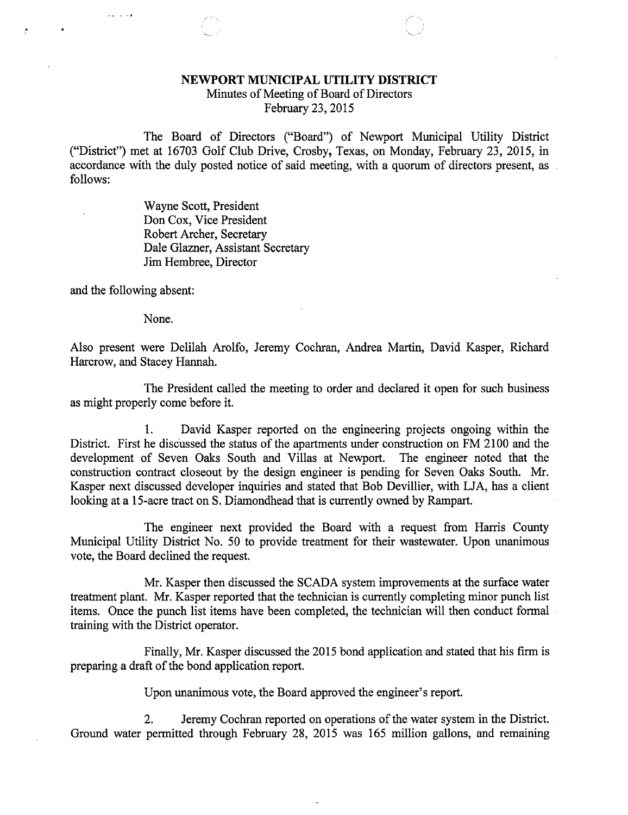## NEWPORT MUNICIPAL UTILITY DISTRICT

Minutes of Meeting of Board of Directors February 23, 2015

The Board of Directors ("Board") of Newport Municipal Utility District ("District") met at 16703 Golf Club Drive, Crosby, Texas, on Monday, February 23, 2015, in accordance with the duly posted notice of said meeting, with a quorum of directors present, as follows:

> Wayne Scott, President Don Cox, Vice President Robert Archer, Secretary Dale Glazner, Assistant Secretary Jim Hembree, Director

and the following absent:

 $\mathbf{r}$   $\mathbf{r}$   $\mathbf{r}$   $\mathbf{r}$   $\mathbf{r}$ 

None.

Also present were Delilah Arolfo, Jeremy Cochran, Andrea Martin, David Kasper, Richard Harcrow, and Stacey Hannah.

The President called the meeting to order and declared it open for such business as might properly come before it.

1. David Kasper reported on the engineering projects ongoing within the District. First he discussed the status of the apartments under construction on FM 2100 and the development of Seven Oaks South and Villas at Newport. The engineer noted that the development of Seven Oaks South and Villas at Newport. construction contract closeout by the design engineer is pending for Seven Oaks South. Mr. Kasper next discussed developer inquiries and stated that Bob Devillier, with LJA, has a client looking at a 15-acre tract on S. Diamondhead that is currently owned by Rampart.

The engineer next provided the Board with a request from Harris County Municipal Utility District No. 50 to provide treatment for their wastewater. Upon unanimous vote, the Board declined the request.

Mr. Kasper then discussed the SCADA system improvements at the surface water treatment plant. Mr. Kasper reported that the technician is currently completing minor punch list items. Once the punch list items have been completed, the technician will then conduct formal training with the District operator.

Finally, Mr. Kasper discussed the 2015 bond application and stated that his firm is preparing a draft of the bond application report.

Upon unanimous vote, the Board approved the engineer's report.

2. Jeremy Cochran reported on operations of the water system in the District. Ground water permitted through February 28, 2015 was 165 million gallons, and remaining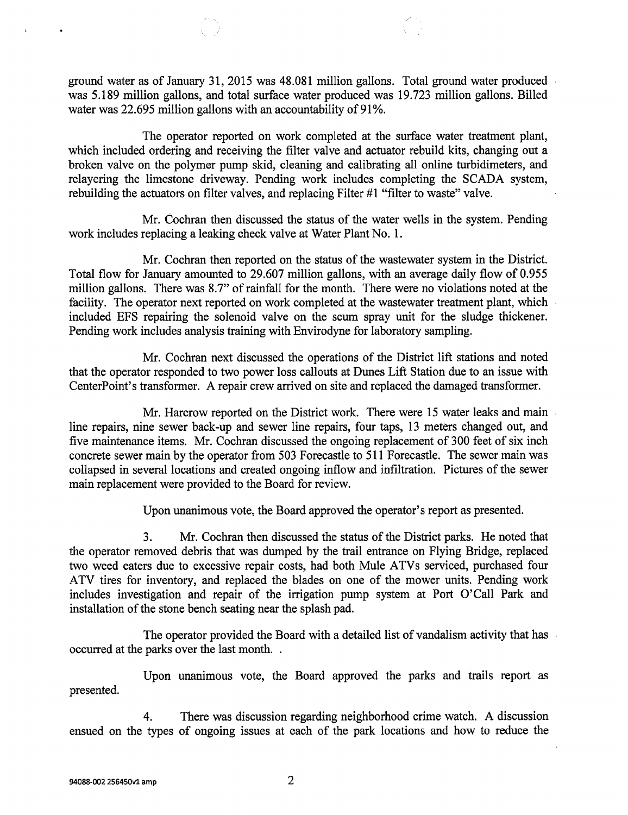ground water as of January 31, 2015 was 48.081 million gallons. Total ground water produced was 5.189 million gallons, and total surface water produced was 19.723 million gallons. Billed water was 22.695 million gallons with an accountability of 91%.

The operator reported on work completed at the surface water treatment plant, which included ordering and receiving the filter valve and actuator rebuild kits, changing out a broken valve on the polymer pump skid, cleaning and calibrating all online turbidimeters, and relayering the limestone driveway. Pending work includes completing the SCADA system, rebuilding the actuators on filter valves, and replacing Filter #1 "filter to waste" valve.

Mr. Cochran then discussed the status of the water wells in the system. Pending work includes replacing a leaking check valve at Water Plant No. 1.

Mr. Cochran then reported on the status of the wastewater system in the District. Total flow for January amounted to 29.607 million gallons, with an average daily flow of 0.955 million gallons. There was 8.7" of rainfall for the month. There were no violations noted at the facility. The operator next reported on work completed at the wastewater treatment plant, which included EFS repairing the solenoid valve on the scum spray unit for the sludge thickener. Pending work includes analysis training with Envirodyne for laboratory sampling.

Mr. Cochran next discussed the operations of the District lift stations and noted that the operator responded to two power loss callouts at Dunes Lift Station due to an issue with CenterPoint's transformer. A repair crew arrived on site and replaced the damaged transformer.

Mr. Harcrow reported on the District work. There were 15 water leaks and main line repairs, nine sewer back-up and sewer line repairs, four taps, 13 meters changed out, and five maintenance items. Mr. Cochran discussed the ongoing replacement of 300 feet of six inch concrete sewer main by the operator from 503 Forecastle to 511 Forecastle. The sewer main was collapsed in several locations and created ongoing inflow and infiltration. Pictures of the sewer main replacement were provided to the Board for review.

Upon unanimous vote, the Board approved the operator's report as presented.

3. Mr. Cochran then discussed the status of the District parks. He noted that the operator removed debris that was dumped by the trail entrance on Flying Bridge, replaced two weed eaters due to excessive repair costs, had both Mule ATVs serviced, purchased four ATV tires for inventory, and replaced the blades on one of the mower units. Pending work includes investigation and repair of the irrigation pump system at Port O' Call Park and installation of the stone bench seating near the splash pad.

The operator provided the Board with a detailed list of vandalism activity that has occurred at the parks over the last month. .

Upon unanimous vote, the Board approved the parks and trails report as presented.

4. There was discussion regarding neighborhood crime watch. A discussion ensued on the types of ongoing issues at each of the park locations and how to reduce the